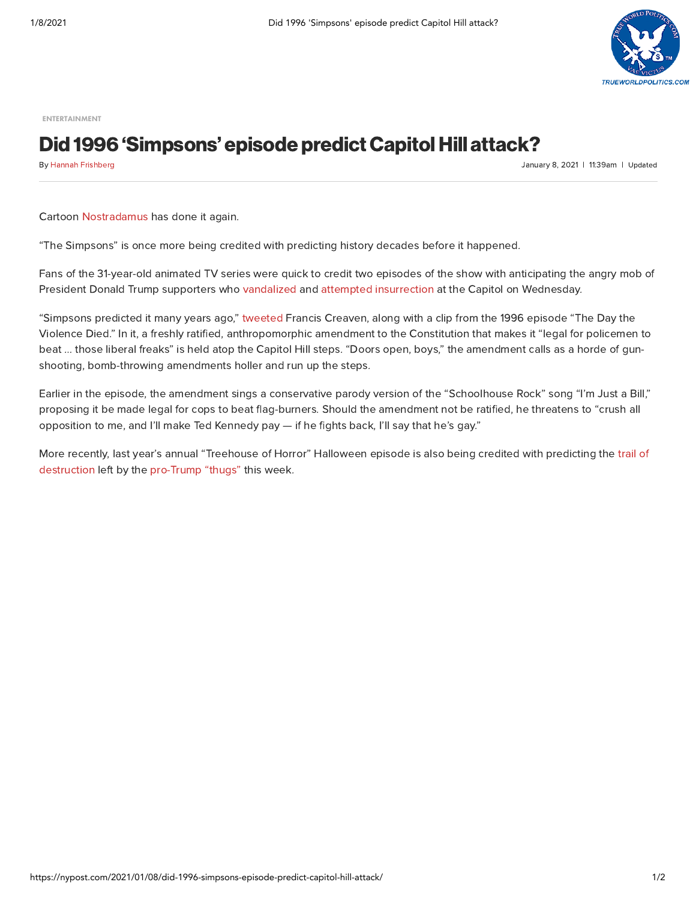

[ENTERTAINMENT](https://nypost.com/entertainment/)

## Did 1996 'Simpsons' episode predict Capitol Hill attack?

January 8, 2021 | 11:39am | By Hannah [Frishberg](https://nypost.com/author/hannah-frishberg/) Updated

Cartoon [Nostradamus](https://nypost.com/2020/12/28/nostradamus-predictions-for-2021-dont-look-good-for-earth/) has done it again.

"The Simpsons" is once more being credited with predicting history decades before it happened.

Fans of the 31-year-old animated TV series were quick to credit two episodes of the show with anticipating the angry mob of President Donald Trump supporters who [vandalized](https://nypost.com/2021/01/07/dc-protests-how-a-mob-of-rioters-took-the-capitol-by-storm/) and attempted [insurrection](https://nypost.com/2021/01/07/dc-prosecutor-does-not-rule-out-charging-trump-in-riot/) at the Capitol on Wednesday.

"Simpsons predicted it many years ago," [tweeted](https://twitter.com/FCr_91/status/1346965226751725570) Francis Creaven, along with a clip from the 1996 episode "The Day the Violence Died." In it, a freshly ratified, anthropomorphic amendment to the Constitution that makes it "legal for policemen to beat … those liberal freaks" is held atop the Capitol Hill steps. "Doors open, boys," the amendment calls as a horde of gunshooting, bomb-throwing amendments holler and run up the steps.

Earlier in the episode, the amendment sings a conservative parody version of the "Schoolhouse Rock" song "I'm Just a Bill," proposing it be made legal for cops to beat flag-burners. Should the amendment not be ratified, he threatens to "crush all opposition to me, and I'll make Ted Kennedy pay - if he fights back, I'll say that he's gay."

More recently, last year's annual ["Treehouse](https://nypost.com/2021/01/06/rioters-leave-trail-of-damage-in-us-capitol-building/) of Horror" Halloween episode is also being credited with predicting the trail of destruction left by the [pro-Trump](https://nypost.com/2021/01/06/mcconnell-blasts-pro-trump-thugs-who-stormed-capitol/) "thugs" this week.